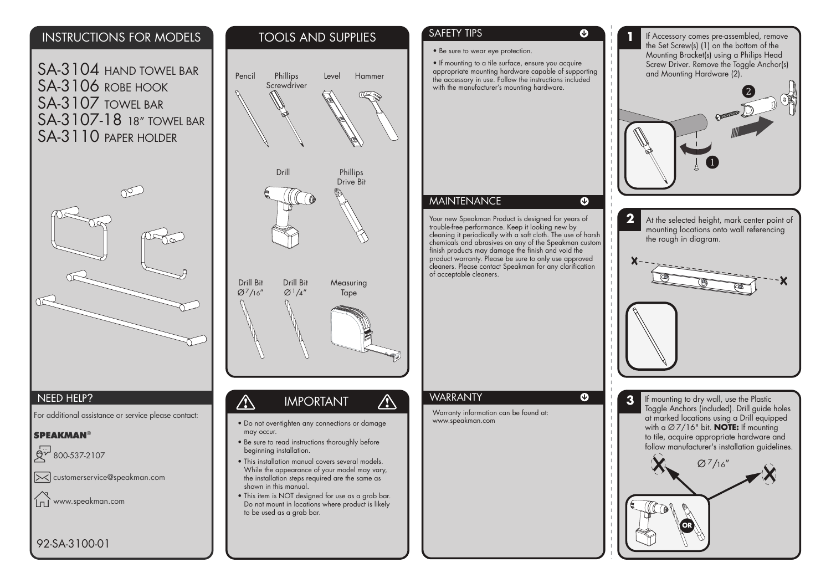#### INSTRUCTIONS FOR MODELS

SA-3104 HAND TOWEL BAR SA-3106 ROBE HOOK SA-3107 TOWEL BAR SA-3107-18 18" TOWEL BARSA-3110 PAPER HOLDER



#### NEED HELP?

For additional assistance or service please contact:

#### **SPEAKMAN®**

800-537-2107

 $\infty$  customerservice@speakman.com

www.speakman.com ÍпÈ

# TOOLS AND SUPPLIESPencil**Phillips** Level Hammer**Screwdriver** DrillPhillips Drive Bit Drill BitDrill BitMeasuring  $Q^{7}/16''$  $Q_1/4''$ Tape  $\bigwedge$  $\bigwedge$ IMPORTANT • Do not over-tighten any connections or damage may occur.

- Be sure to read instructions thoroughly before beginning installation.
- This installation manual covers several models. While the appearance of your model may vary, the installation steps required are the same as shown in this manual.
- This item is NOT designed for use as a grab bar. Do not mount in locations where product is likely to be used as a grab bar.

### SAFETY TIPS

• Be sure to wear eye protection.

• If mounting to a tile surface, ensure you acquire appropriate mounting hardware capable of supporting the accessory in use. Follow the instructions included with the manufacturer's mounting hardware.

 $\boldsymbol{\Omega}$ 

 $\bullet$ 

 $\boldsymbol{\Omega}$ 

#### **MAINTENANCE**

Your new Speakman Product is designed for years of trouble-free performance. Keep it looking new by cleaning it periodically with a soft cloth. The use of harsh chemicals and abrasives on any of the Speakman custom finish products may damage the finish and void the product warranty. Please be sure to only use approved cleaners. Please contact Speakman for any clarification of acceptable cleaners.

#### **WARRANTY**

Warranty information can be found at: www.speakman.com





**3** If mounting to dry wall, use the Plastic Toggle Anchors (included). Drill guide holes at marked locations using a Drill equipped with a Ø 7/16" bit. **NOTE:** If mounting to tile, acquire appropriate hardware and follow manufacturer's installation quidelines.



92-SA-3100-01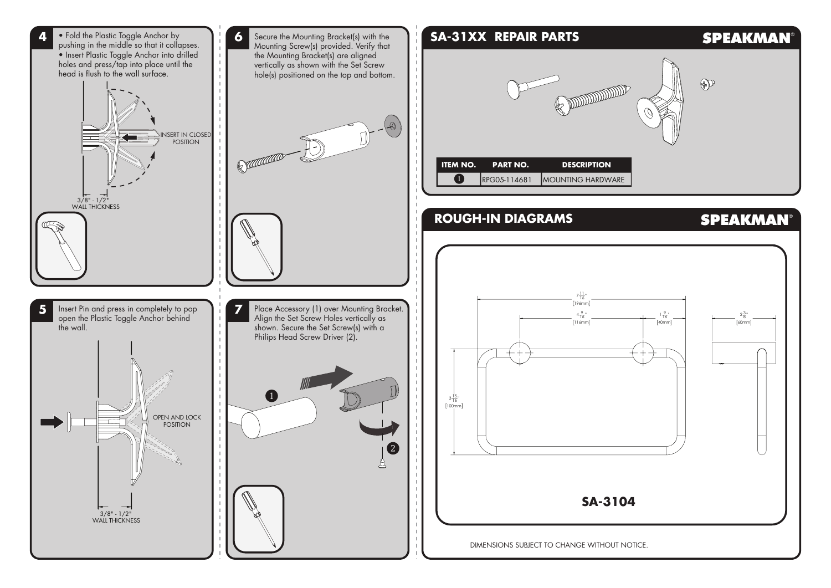